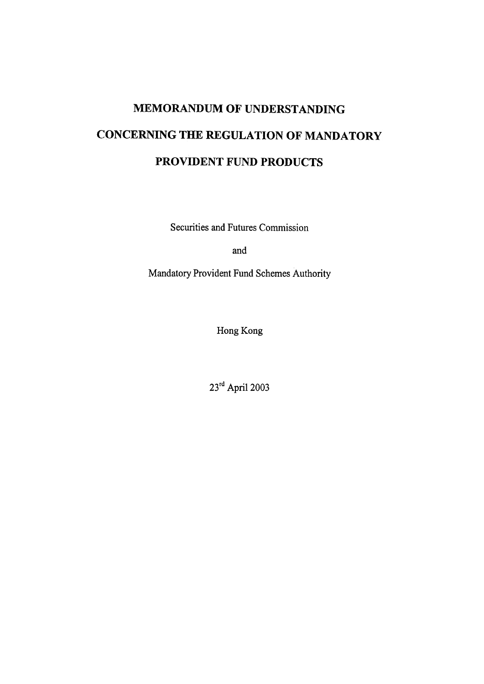# MEMORANDUM OF UNDERSTANDING CONCERNING THE REGULATION OF MANDATORY PROVIDENT FUND PRODUCTS

Securities and Futures Commission

and

Mandatory Provident Fund Schemes Authority

Hong Kong

23rd April 2003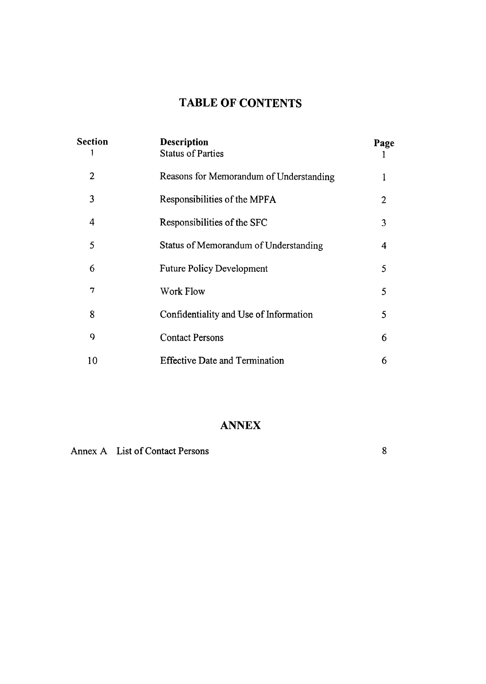# TABLE OF CONTENTS

| <b>Section</b><br>1 | <b>Description</b><br><b>Status of Parties</b> | Page |
|---------------------|------------------------------------------------|------|
| $\overline{2}$      | Reasons for Memorandum of Understanding        | 1    |
| 3                   | Responsibilities of the MPFA                   | 2    |
| 4                   | Responsibilities of the SFC                    | 3    |
| 5                   | Status of Memorandum of Understanding          | 4    |
| 6                   | <b>Future Policy Development</b>               | 5    |
| $\tau$              | <b>Work Flow</b>                               | 5    |
| 8                   | Confidentiality and Use of Information         | 5    |
| 9                   | <b>Contact Persons</b>                         | 6    |
| 10                  | <b>Effective Date and Termination</b>          | 6    |

# ANNEX

Annex A List of Contact Persons 8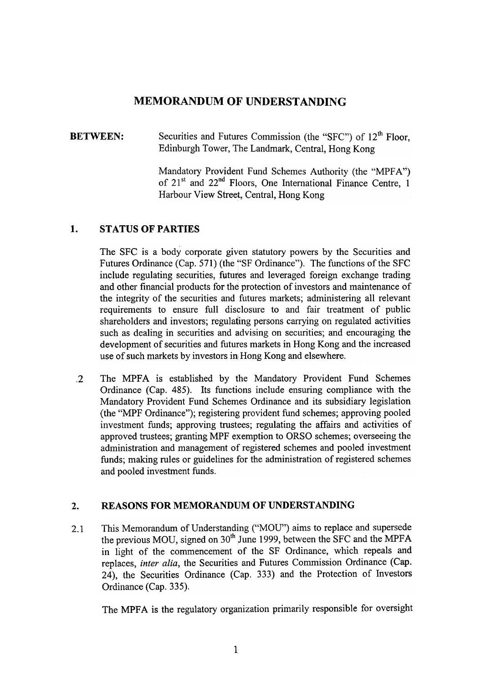### MEMORANDUM OF UNDERSTANDING

#### Securities and Futures Commission (the "SFC") of 12<sup>th</sup> Floor, Edinburgh Tower, The Landmark, Central, Hong Kong BETWEEN:

Mandatory Provident Fund Schemes Authority (the "MPFA") of  $21<sup>st</sup>$  and  $22<sup>nd</sup>$  Floors, One International Finance Centre, 1 Harbour View Street, Central, Hong Kong

### 1. STATUS OF PARTIES

The SFC is a body corporate given statutory powers by the Securities and Futures Ordinance (Cap. 571) (the "SF Ordinance"). The functions of the SFC include regulating securities, futures and leveraged foreign exchange trading and other financial products for the protection of investors and maintenance of the integrity of the securities and futures markets; administering all relevant requirements to ensure full disclosure to and fair treatment of public shareholders and investors; regulating persons carrying on regulated activities such as dealing in securities and advising on securities; and encouraging the development of securities and futures markets in Hong Kong and the increased use of such markets by investors in Hong Kong and elsewhere.

.2 The MPFA is established by the Mandatory Provident Fund Schemes Ordinance (Cap. 485). Its functions include ensuring compliance with the Mandatory Provident Fund Schemes Ordinance and its subsidiary legislation (the "MPF Ordinance"); registering provident fund schemes; approving pooled investment funds; approving trustees; regulating the affairs and activities of approved trustees; granting MPF exemption to ORSO schemes; overseeing the administration and management of registered schemes and pooled investment funds; making rules or guidelines for the administration of registered schemes and pooled investment funds.

### 2. REASONS FOR MEMORANDUM OF UNDERSTANDING

This Memorandum of Understanding ("MOU") aims to replace and supersede the previous MOU, signed on  $30<sup>th</sup>$  June 1999, between the SFC and the MPFA in light of the commencement of the SF Ordinance, which repeals and replaces, inter alia, the Securities and Futures Commission Ordinance (Cap. 24), the Securities Ordinance (Cap. 333) and the Protection of Investors Ordinance (Cap. 335). 2.1

The MPFA is the regulatory organization primarily responsible for oversight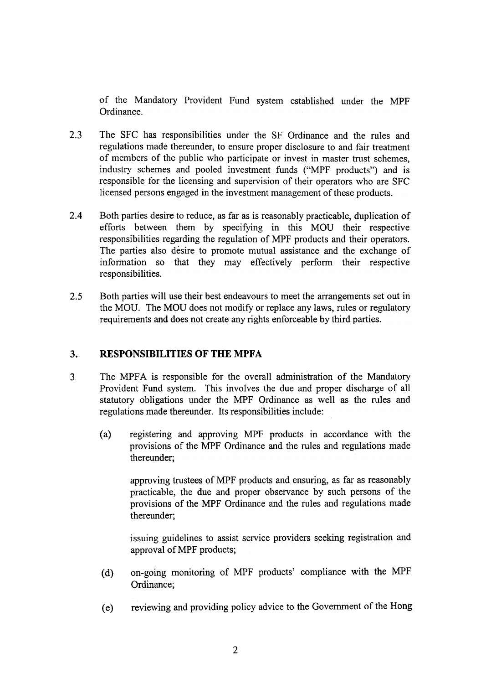of the Mandatory Provident Fund system established under the MPF Ordinance.

- 2.3 The SFC has responsibilities under the SF Ordinance and the rules and regulations made thereunder, to ensure proper disclosure to and fair treatment of members of the public who participate or invest in master trust schemes, industry schemes and pooled investment funds ("MPF products") and is responsible for the licensing and supervision of their operators who are SFC licensed persons engaged in the investment management of these products.
- 2.4 Both parties desire to reduce, as far as is reasonably practicable, duplication of efforts between them by specifying in this MOU their respective responsibilities regarding the regulation of MPF products and their operators. The parties also desire to promote mutual assistance and the exchange of information so that they may effectively perform their respective responsibilities.
- 2.5 Both parties will use their best endeavours to meet the arrangements set out in the MOU. The MOU does not modify or replace any laws, rules or regulatory requirements and does not create any rights enforceable by third parties.

#### $3.$ RESPONSIBILITIES OF THE MPFA

- The MPFA is responsible for the overall administration of the Mandatory Provident Fund system. This involves the due and proper discharge of all statutory obligations under the MPF Ordinance as well as the rules and regulations made thereunder. Its responsibilities include: 3
	- registering and approving MPF products in accordance with the provisions of the MPF Ordinance and the rules and regulations made thereunder; (a)

approving trustees of MPF products and ensuring, as far as reasonably practicable, the due and proper observance by such persons of the provisions of the MPF Ordinance and the rules and regulations made thereunder;

issuing guidelines to assist service providers seeking registration and approval of MPF products;

- on-going monitoring of MPF products' compliance with the MPF Ordinance; (d)
- reviewing and providing policy advice to the Government of the Hong (e)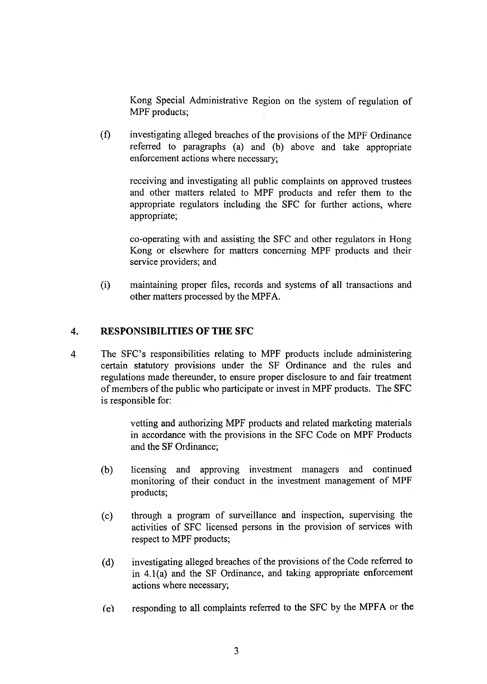Kong Special Administrative Region on the system of regulation of MPF products;

(f) investigating alleged breaches of the provisions of the MPF Ordinance referred to paragraphs (a) and (b) above and take appropriate enforcement actions where necessary;

receiving and investigating all public complaints on approved trustees and other matters related to MPF products and refer them to the appropriate regulators including the SFC for further actions, where appropriate;

co-operating with and assisting the SFC and other regulators in Hong Kong or elsewhere for matters concerning MPF products and their service providers; and

(i) maintaining proper files, records and systems of all transactions and other matters processed by the MPFA.

#### 4. RESPONSIBILITIES OF THE SFC

4, The SFC's responsibilities relating to MPF products include administering certain statutory provisions under the SF Ordinance and the rules and regulations made thereunder, to ensure proper disclosure to and fair treatment of members of the public who participate or invest in MPF products. The SFC is responsible for:

> vetting and authorizing MPF products and related marketing materials in accordance with the provisions in the SFC Code on MPF Products and the SF Ordinance;

- licensing and approving investment managers and continued monitoring of their conduct in the investment management of MPF products; (b)
- through a program of surveillance and inspection, supervising the activities of SFC licensed persons in the provision of services with respect to MPF products; (c)
- investigating alleged breaches of the provisions of the Code referred to in 4.1(a) and the SF Ordinance, and taking appropriate enforcement actions where necessary;  $(d)$
- (e) responding to all complaints referred to the SFC by the MPFA or the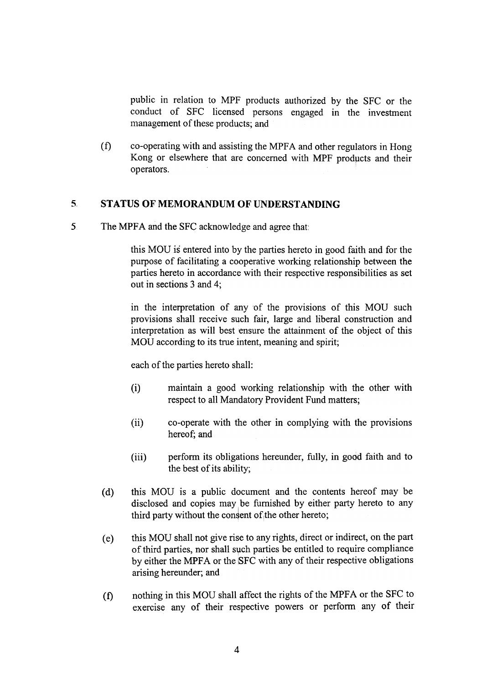public in relation to MPF products authorized by the SFC or the conduct of SFC licensed persons engaged in the investment management of these products; and

(f) co-operating with and assisting the MPF A and other regulators in Hong Kong or elsewhere that are concerned with MPF products and their operators.

#### 5, STATUS OF MEMORANDUM OF UNDERSTANDING

5 The MPFA and the SFC acknowledge and agree that:

this MOU is entered into by the parties hereto in good faith and for the purpose of facilitating a cooperative working relationship between the parties hereto in accordance with their respective responsibilities as set out in sections 3 and 4;

in the interpretation of any of the provisions of this MOU such provisions shall receive sqch fair, large and liberal construction and interpretation as will best 'ensure the attainment of the object of this MOU according to its true intent, meaning and spirit;

each of the parties hereto shall:

- (i) maintain a good working relationship with the other with respect to all Mandatory Provident Fund matters;
- (ii) co-operate with the other in complying with the provisions hereof; and
- (iii) perform its obligations hereunder, fully, in good faith and to the best of its ability;
- (d) this MOU is a public document and the contents hereof may be disclosed and copies may be furnished by either party hereto to any third party without the consent of the other hereto;
- this MOU shall not give rise to any rights, direct or indirect, on the part of third parties, nor shall such parties be entitled to require compliance by either the MPFA or the SFC with any of their respective obligations arising hereunder; and (e)
- nothing in this MOU shall affect the rights of the MPFA or the SFC to exercise any of their respective powers or perfonn any of their (t)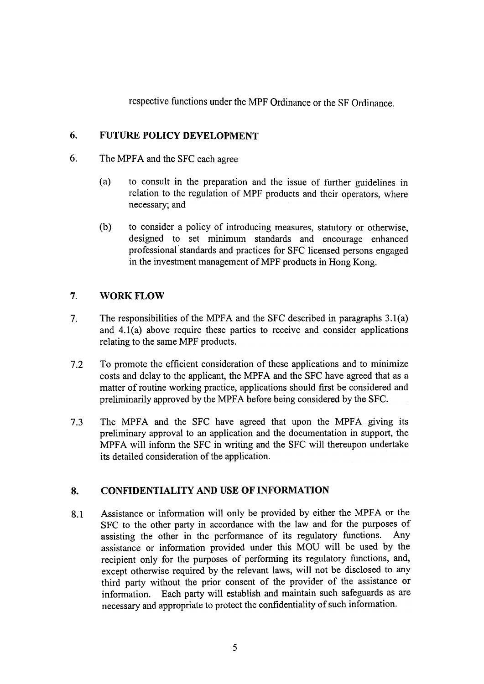respective functions under the MPF Ordinance or the SF Ordinance.

#### 6. FUTURE POLICY DEVELOPMENT

- 6. The MPFA and the SFC each agree
	- (a) to consult in the preparation and the issue of further guidelines in relation to the regulation of MPF products and their operators, where necessary; and
	- (b) to consider a policy of introducing measures, statutory or otherwise, designed to set minimum standards and encourage enhanced professional' standards and practices for SFC licensed persons engaged in the investment management of MPF products in Hong Kong.

### 7. WORK FLOW

- The responsibilities of the MPFA and the SFC described in paragraphs 3.1(a) and  $4.1(a)$  above require these parties to receive and consider applications relating to the same MPF products. 7.
- 7.2 To promote the efficient consideration of these applications and to minimize costs and delay to the applicant, the MPFA and the SFC have agreed that as a matter of routine working practice, applications should first be considered and preliminarily approved by the MPFA before being considered by the SFC.
- 7.3 The MPFA and the SFC have agreed that upon the MPFA giving its preliminary approval to an application and the documentation in support, the MPFA will inform the SFC in writing and the SFC will thereupon undertake its detailed consideration of the application.

#### CONFIDENTIALITY AND USE OF INFORMATION 8.

Assistance or information will only be provided by either the MPFA or the SFC to the other party in accordance with the law and for the purposes of assisting the other in the performance of its regulatory functions. Any assistance or information provided under this MOU will be used by the recipient only for the purposes of performing its regulatory functions, and, except otherwise required by the relevant laws, will not be disclosed to any third party without the prior consent of the provider of the assistance or information. Each party will establish and maintain such safeguards as are necessary and appropriate to protect the confidentiality of such information. 8.1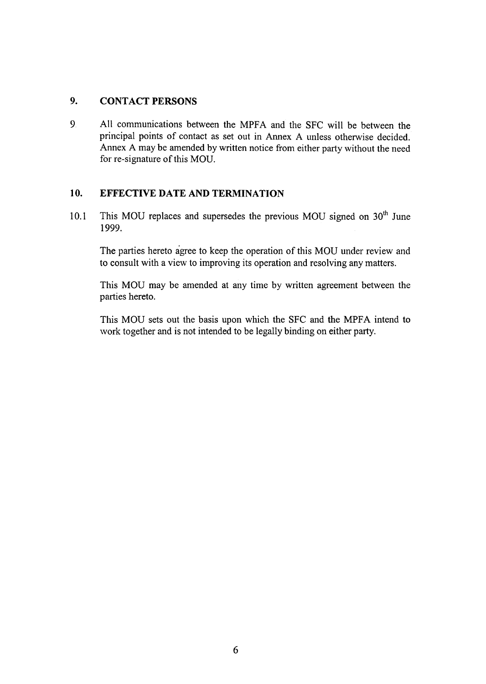#### $9<sub>r</sub>$ CONTACT PERSONS

9 All communications between the MPFA and the SFC will be between the principal points of contact as set out in Annex A unless otherwise decided. Annex A may be amended by written notice from either party without the need for re-signature of this MOU.

### 10. EFFECTIVE DATE AND TERMINATION

This MOU replaces and supersedes the previous MOU signed on  $30<sup>th</sup>$  June 1999.. 10.1

The parties hereto agree to keep the operation of this MOU under review and to consult with a view to improving its operation and resolving any matters.

This MOU may be amended at any time by written agreement between the parties hereto.

This MOU sets out the basis upon which the SFC and the MPFA intend to work together and is not intended to be legally binding on either party.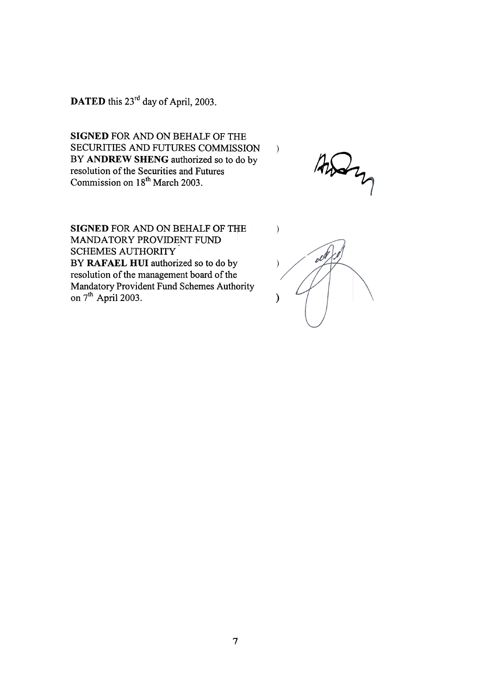DATED this 23<sup>rd</sup> day of April, 2003.

SIGNED FOR AND ON BEHALF OF THE SECURITIES AND FUTURES COMMISSION BY ANDREW SHENG authorized so to do by resolution of the Securities and Futures Commission on 18th March 2003.

 $\frac{1}{4} \frac{1}{2} \frac{1}{2}$ 

 $\lambda$ 

SIGNED FOR AND ON BEHALF OF THE MANDATORY PROVIDENT FUND SCHEMES AUTHORITY BY RAFAEL HUI authorized so to do by resolution of the management board of the Mandatory Provident Fund Schemes Authority on  $7^{\text{th}}$  April 2003.

 $\mathcal{E}$  $e^{i\theta}$  $\mathcal{E}$